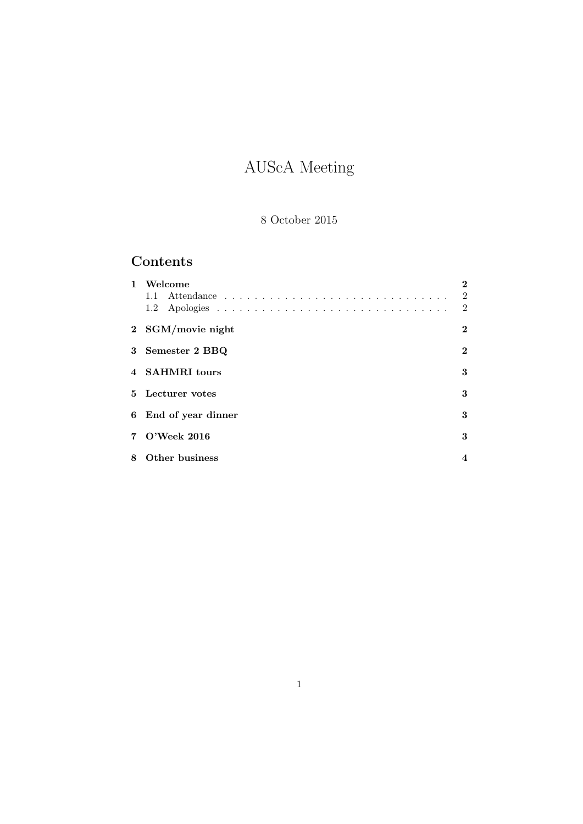# AUScA Meeting

## 8 October 2015

# Contents

| $\mathbf{1}$   | Welcome              | $\bf{2}$<br>$\overline{2}$<br>$\overline{2}$ |
|----------------|----------------------|----------------------------------------------|
|                | 2 SGM/movie night    | $\bf{2}$                                     |
|                | 3 Semester 2 BBQ     | $\bf{2}$                                     |
|                | 4 SAHMRI tours       | 3                                            |
| $5 -$          | Lecturer votes       | 3                                            |
|                | 6 End of year dinner | 3                                            |
| $\overline{7}$ | $O'$ Week 2016       | 3                                            |
| 8              | Other business       | 4                                            |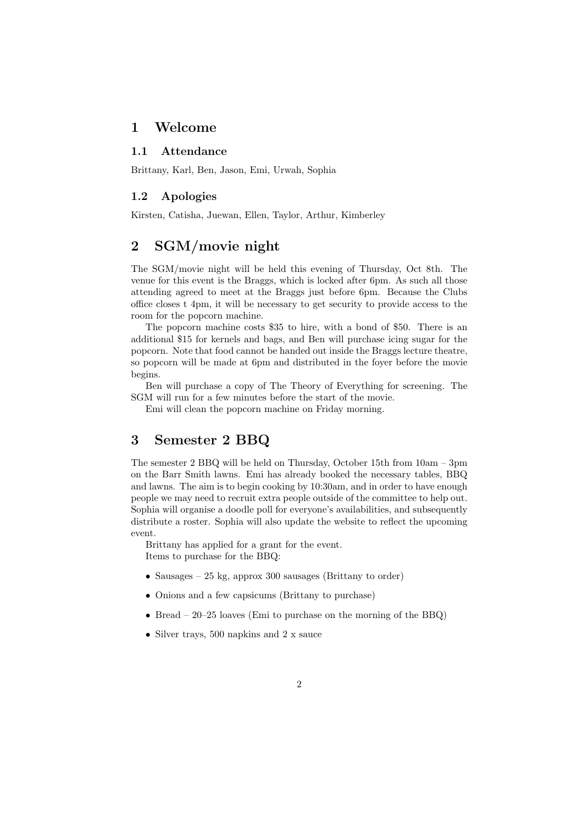#### 1 Welcome

#### 1.1 Attendance

Brittany, Karl, Ben, Jason, Emi, Urwah, Sophia

#### 1.2 Apologies

Kirsten, Catisha, Juewan, Ellen, Taylor, Arthur, Kimberley

## 2 SGM/movie night

The SGM/movie night will be held this evening of Thursday, Oct 8th. The venue for this event is the Braggs, which is locked after 6pm. As such all those attending agreed to meet at the Braggs just before 6pm. Because the Clubs office closes t 4pm, it will be necessary to get security to provide access to the room for the popcorn machine.

The popcorn machine costs \$35 to hire, with a bond of \$50. There is an additional \$15 for kernels and bags, and Ben will purchase icing sugar for the popcorn. Note that food cannot be handed out inside the Braggs lecture theatre, so popcorn will be made at 6pm and distributed in the foyer before the movie begins.

Ben will purchase a copy of The Theory of Everything for screening. The SGM will run for a few minutes before the start of the movie.

Emi will clean the popcorn machine on Friday morning.

#### 3 Semester 2 BBQ

The semester 2 BBQ will be held on Thursday, October 15th from 10am – 3pm on the Barr Smith lawns. Emi has already booked the necessary tables, BBQ and lawns. The aim is to begin cooking by 10:30am, and in order to have enough people we may need to recruit extra people outside of the committee to help out. Sophia will organise a doodle poll for everyone's availabilities, and subsequently distribute a roster. Sophia will also update the website to reflect the upcoming event.

Brittany has applied for a grant for the event. Items to purchase for the BBQ:

- Sausages 25 kg, approx 300 sausages (Brittany to order)
- Onions and a few capsicums (Brittany to purchase)
- Bread  $20-25$  loaves (Emi to purchase on the morning of the BBQ)
- Silver trays, 500 napkins and 2 x sauce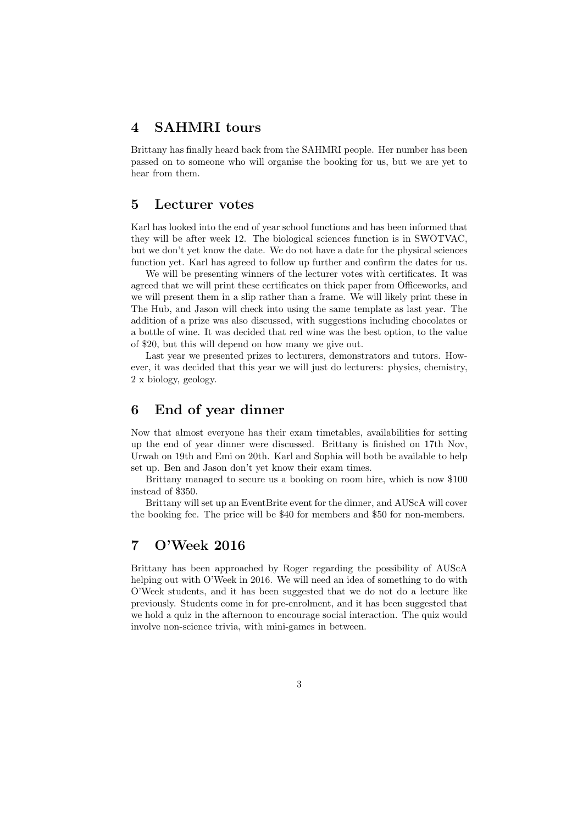#### 4 SAHMRI tours

Brittany has finally heard back from the SAHMRI people. Her number has been passed on to someone who will organise the booking for us, but we are yet to hear from them.

#### 5 Lecturer votes

Karl has looked into the end of year school functions and has been informed that they will be after week 12. The biological sciences function is in SWOTVAC, but we don't yet know the date. We do not have a date for the physical sciences function yet. Karl has agreed to follow up further and confirm the dates for us.

We will be presenting winners of the lecturer votes with certificates. It was agreed that we will print these certificates on thick paper from Officeworks, and we will present them in a slip rather than a frame. We will likely print these in The Hub, and Jason will check into using the same template as last year. The addition of a prize was also discussed, with suggestions including chocolates or a bottle of wine. It was decided that red wine was the best option, to the value of \$20, but this will depend on how many we give out.

Last year we presented prizes to lecturers, demonstrators and tutors. However, it was decided that this year we will just do lecturers: physics, chemistry, 2 x biology, geology.

#### 6 End of year dinner

Now that almost everyone has their exam timetables, availabilities for setting up the end of year dinner were discussed. Brittany is finished on 17th Nov, Urwah on 19th and Emi on 20th. Karl and Sophia will both be available to help set up. Ben and Jason don't yet know their exam times.

Brittany managed to secure us a booking on room hire, which is now \$100 instead of \$350.

Brittany will set up an EventBrite event for the dinner, and AUScA will cover the booking fee. The price will be \$40 for members and \$50 for non-members.

## 7 O'Week 2016

Brittany has been approached by Roger regarding the possibility of AUScA helping out with O'Week in 2016. We will need an idea of something to do with O'Week students, and it has been suggested that we do not do a lecture like previously. Students come in for pre-enrolment, and it has been suggested that we hold a quiz in the afternoon to encourage social interaction. The quiz would involve non-science trivia, with mini-games in between.